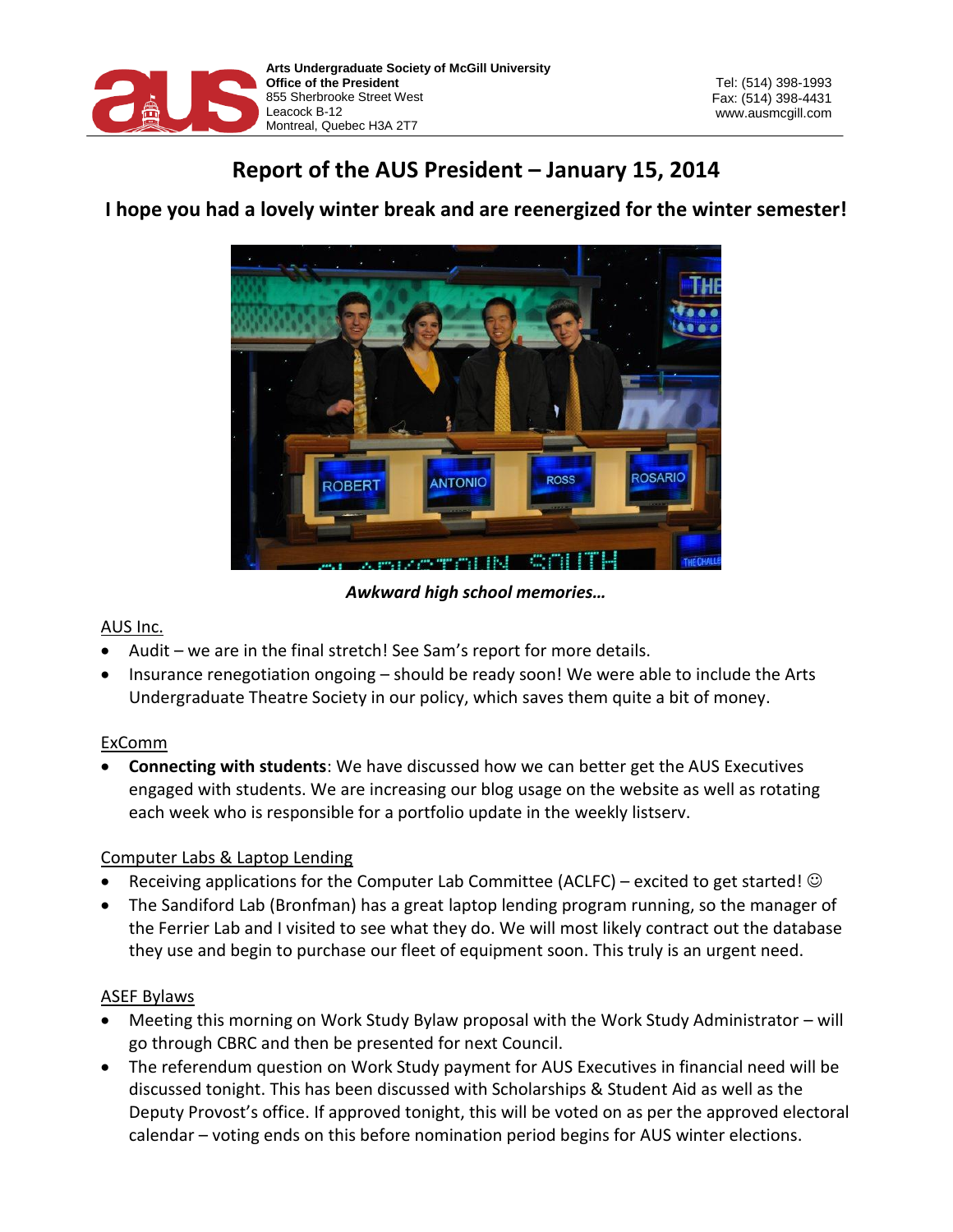

# **Report of the AUS President – January 15, 2014**



## **I hope you had a lovely winter break and are reenergized for the winter semester!**

*Awkward high school memories…*

## AUS Inc.

- Audit we are in the final stretch! See Sam's report for more details.
- Insurance renegotiation ongoing should be ready soon! We were able to include the Arts Undergraduate Theatre Society in our policy, which saves them quite a bit of money.

## ExComm

 **Connecting with students**: We have discussed how we can better get the AUS Executives engaged with students. We are increasing our blog usage on the website as well as rotating each week who is responsible for a portfolio update in the weekly listserv.

## Computer Labs & Laptop Lending

- Receiving applications for the Computer Lab Committee (ACLFC) excited to get started!  $\odot$
- The Sandiford Lab (Bronfman) has a great laptop lending program running, so the manager of the Ferrier Lab and I visited to see what they do. We will most likely contract out the database they use and begin to purchase our fleet of equipment soon. This truly is an urgent need.

## ASEF Bylaws

- Meeting this morning on Work Study Bylaw proposal with the Work Study Administrator will go through CBRC and then be presented for next Council.
- The referendum question on Work Study payment for AUS Executives in financial need will be discussed tonight. This has been discussed with Scholarships & Student Aid as well as the Deputy Provost's office. If approved tonight, this will be voted on as per the approved electoral calendar – voting ends on this before nomination period begins for AUS winter elections.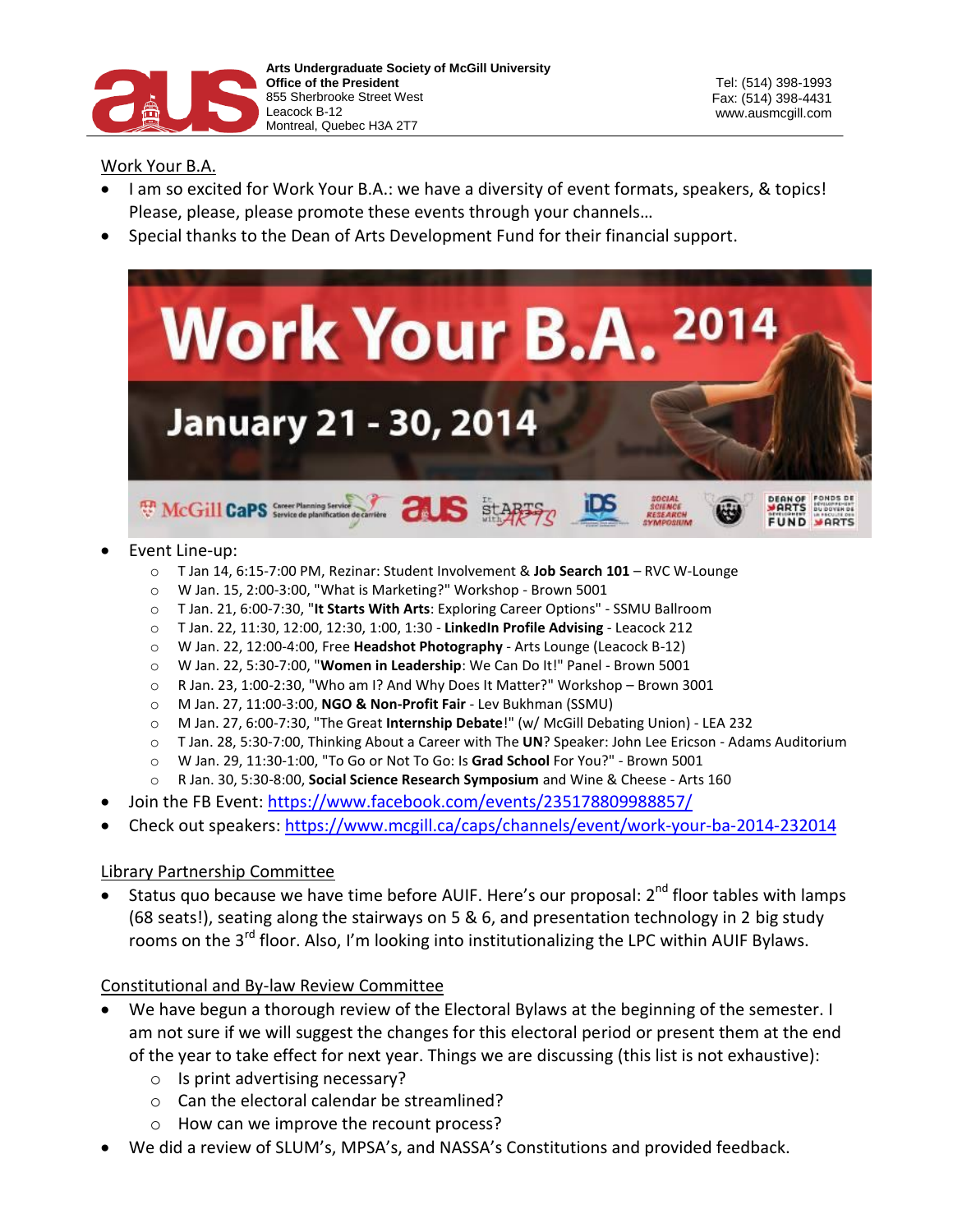

## Work Your B.A.

- I am so excited for Work Your B.A.: we have a diversity of event formats, speakers, & topics! Please, please, please promote these events through your channels…
- Special thanks to the Dean of Arts Development Fund for their financial support.



#### Event Line-up:

- o T Jan 14, 6:15-7:00 PM, Rezinar: Student Involvement & **Job Search 101** RVC W-Lounge
- o W Jan. 15, 2:00-3:00, "What is Marketing?" Workshop Brown 5001
- o T Jan. 21, 6:00-7:30, "**It Starts With Arts**: Exploring Career Options" SSMU Ballroom
- o T Jan. 22, 11:30, 12:00, 12:30, 1:00, 1:30 **LinkedIn Profile Advising** Leacock 212
- o W Jan. 22, 12:00-4:00, Free **Headshot Photography** Arts Lounge (Leacock B-12)
- o W Jan. 22, 5:30-7:00, "**Women in Leadership**: We Can Do It!" Panel Brown 5001
- o R Jan. 23, 1:00-2:30, "Who am I? And Why Does It Matter?" Workshop Brown 3001
- o M Jan. 27, 11:00-3:00, **NGO & Non-Profit Fair**  Lev Bukhman (SSMU)
- o M Jan. 27, 6:00-7:30, "The Great **Internship Debate**!" (w/ McGill Debating Union) LEA 232
- o T Jan. 28, 5:30-7:00, Thinking About a Career with The **UN**? Speaker: John Lee Ericson Adams Auditorium
- o W Jan. 29, 11:30-1:00, "To Go or Not To Go: Is **Grad School** For You?" Brown 5001
- o R Jan. 30, 5:30-8:00, **Social Science Research Symposium** and Wine & Cheese Arts 160
- Join the FB Event:<https://www.facebook.com/events/235178809988857/>
- Check out speakers:<https://www.mcgill.ca/caps/channels/event/work-your-ba-2014-232014>

#### Library Partnership Committee

• Status quo because we have time before AUIF. Here's our proposal:  $2<sup>nd</sup>$  floor tables with lamps (68 seats!), seating along the stairways on 5 & 6, and presentation technology in 2 big study rooms on the 3rd floor. Also, I'm looking into institutionalizing the LPC within AUIF Bylaws.

#### Constitutional and By-law Review Committee

- We have begun a thorough review of the Electoral Bylaws at the beginning of the semester. I am not sure if we will suggest the changes for this electoral period or present them at the end of the year to take effect for next year. Things we are discussing (this list is not exhaustive):
	- o Is print advertising necessary?
	- o Can the electoral calendar be streamlined?
	- o How can we improve the recount process?
- We did a review of SLUM's, MPSA's, and NASSA's Constitutions and provided feedback.